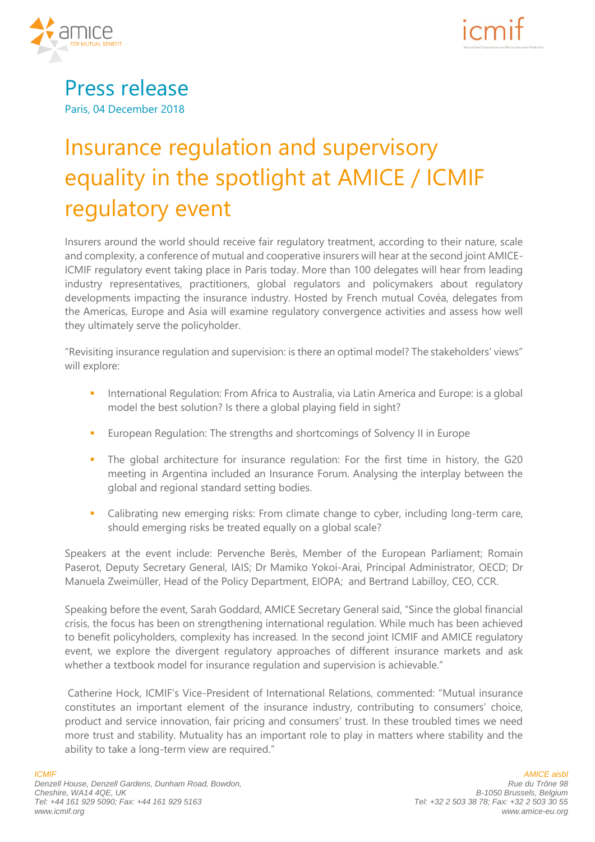

## Press release Paris, 04 December 2018

# Insurance regulation and supervisory equality in the spotlight at AMICE / ICMIF regulatory event

Insurers around the world should receive fair regulatory treatment, according to their nature, scale and complexity, a conference of mutual and cooperative insurers will hear at the second joint AMICE-ICMIF regulatory event taking place in Paris today. More than 100 delegates will hear from leading industry representatives, practitioners, global regulators and policymakers about regulatory developments impacting the insurance industry. Hosted by French mutual Covéa, delegates from the Americas, Europe and Asia will examine regulatory convergence activities and assess how well they ultimately serve the policyholder.

"Revisiting insurance regulation and supervision: is there an optimal model? The stakeholders' views" will explore:

- **International Regulation: From Africa to Australia, via Latin America and Europe: is a global** model the best solution? Is there a global playing field in sight?
- **European Regulation: The strengths and shortcomings of Solvency II in Europe**
- **The global architecture for insurance regulation: For the first time in history, the G20** meeting in Argentina included an Insurance Forum. Analysing the interplay between the global and regional standard setting bodies.
- Calibrating new emerging risks: From climate change to cyber, including long-term care, should emerging risks be treated equally on a global scale?

Speakers at the event include: Pervenche Berès, Member of the European Parliament; Romain Paserot, Deputy Secretary General, IAIS; Dr Mamiko Yokoi-Arai, Principal Administrator, OECD; Dr Manuela Zweimüller, Head of the Policy Department, EIOPA; and Bertrand Labilloy, CEO, CCR.

Speaking before the event, Sarah Goddard, AMICE Secretary General said, "Since the global financial crisis, the focus has been on strengthening international regulation. While much has been achieved to benefit policyholders, complexity has increased. In the second joint ICMIF and AMICE regulatory event, we explore the divergent regulatory approaches of different insurance markets and ask whether a textbook model for insurance regulation and supervision is achievable."

Catherine Hock, ICMIF's Vice-President of International Relations, commented: "Mutual insurance constitutes an important element of the insurance industry, contributing to consumers' choice, product and service innovation, fair pricing and consumers' trust. In these troubled times we need more trust and stability. Mutuality has an important role to play in matters where stability and the ability to take a long-term view are required."

**ICMIF Denzell House, Denzell Gardens, Dunham Road, Bowdon, Cheshire, WA14 4QE, UK Tel: +44 161 929 5090; Fax: +44 161 929 5163 www.icmif.org**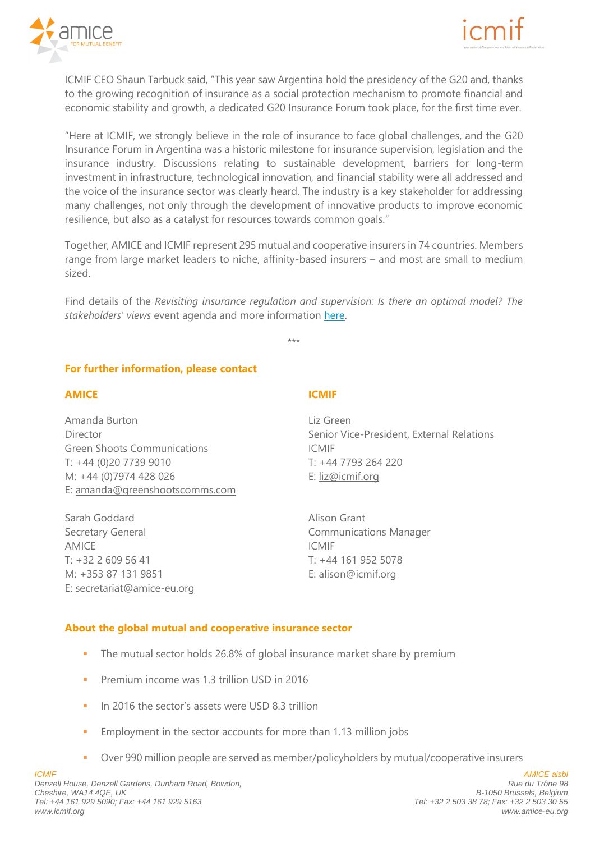



ICMIF CEO Shaun Tarbuck said, "This year saw Argentina hold the presidency of the G20 and, thanks to the growing recognition of insurance as a social protection mechanism to promote financial and economic stability and growth, a dedicated G20 Insurance Forum took place, for the first time ever.

"Here at ICMIF, we strongly believe in the role of insurance to face global challenges, and the G20 Insurance Forum in Argentina was a historic milestone for insurance supervision, legislation and the insurance industry. Discussions relating to sustainable development, barriers for long-term investment in infrastructure, technological innovation, and financial stability were all addressed and the voice of the insurance sector was clearly heard. The industry is a key stakeholder for addressing many challenges, not only through the development of innovative products to improve economic resilience, but also as a catalyst for resources towards common goals."

Together, AMICE and ICMIF represent 295 mutual and cooperative insurers in 74 countries. Members range from large market leaders to niche, affinity-based insurers – and most are small to medium sized.

Find details of the *Revisiting insurance regulation and supervision: Is there an optimal model? The stakeholders' views* event agenda and more information [here.](https://www.icmif.org/events/leaders-forums/joint-icmifamice-regulatory-affairs-conference)

\*\*\*

#### **For further information, please contact**

#### **AMICE**

Amanda Burton Director Green Shoots Communications T: +44 (0)20 7739 9010 M: +44 (0)7974 428 026 E: [amanda@greenshootscomms.com](mailto:amanda@greenshootscomms.com)

Sarah Goddard Secretary General AMICE T: +32 2 609 56 41 M: +353 87 131 9851 E: [secretariat@amice-eu.org](mailto:secretariat@amice-eu.org)

#### **ICMIF**

Liz Green Senior Vice-President, External Relations ICMIF T: +44 7793 264 220 E: [liz@icmif.org](mailto:liz@icmif.org)

Alison Grant Communications Manager ICMIF T: +44 161 952 5078 E: [alison@icmif.org](mailto:alison@icmif.org)

#### **About the global mutual and cooperative insurance sector**

- The mutual sector holds 26.8% of global insurance market share by premium
- **Premium income was 1.3 trillion USD in 2016**
- In 2016 the sector's assets were USD 8.3 trillion
- **Employment in the sector accounts for more than 1.13 million jobs**
- Over 990 million people are served as member/policyholders by mutual/cooperative insurers